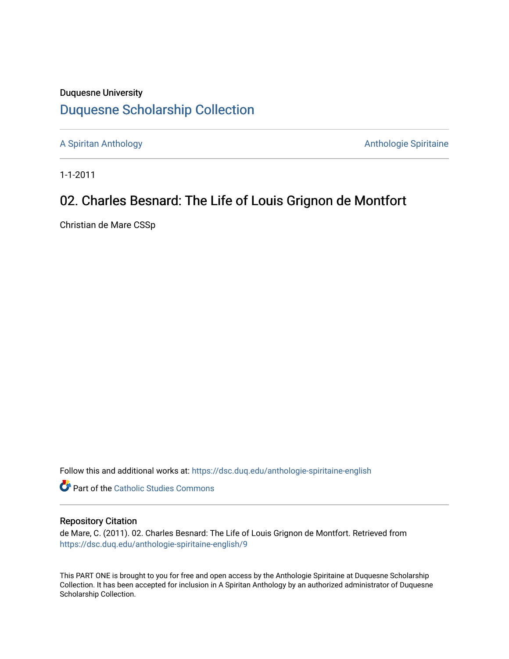## Duquesne University [Duquesne Scholarship Collection](https://dsc.duq.edu/)

[A Spiritan Anthology](https://dsc.duq.edu/anthologie-spiritaine-english) **Anthology** Anthologie Spiritaine

1-1-2011

## 02. Charles Besnard: The Life of Louis Grignon de Montfort

Christian de Mare CSSp

Follow this and additional works at: [https://dsc.duq.edu/anthologie-spiritaine-english](https://dsc.duq.edu/anthologie-spiritaine-english?utm_source=dsc.duq.edu%2Fanthologie-spiritaine-english%2F9&utm_medium=PDF&utm_campaign=PDFCoverPages)

**Part of the [Catholic Studies Commons](http://network.bepress.com/hgg/discipline/1294?utm_source=dsc.duq.edu%2Fanthologie-spiritaine-english%2F9&utm_medium=PDF&utm_campaign=PDFCoverPages)** 

## Repository Citation

de Mare, C. (2011). 02. Charles Besnard: The Life of Louis Grignon de Montfort. Retrieved from [https://dsc.duq.edu/anthologie-spiritaine-english/9](https://dsc.duq.edu/anthologie-spiritaine-english/9?utm_source=dsc.duq.edu%2Fanthologie-spiritaine-english%2F9&utm_medium=PDF&utm_campaign=PDFCoverPages) 

This PART ONE is brought to you for free and open access by the Anthologie Spiritaine at Duquesne Scholarship Collection. It has been accepted for inclusion in A Spiritan Anthology by an authorized administrator of Duquesne Scholarship Collection.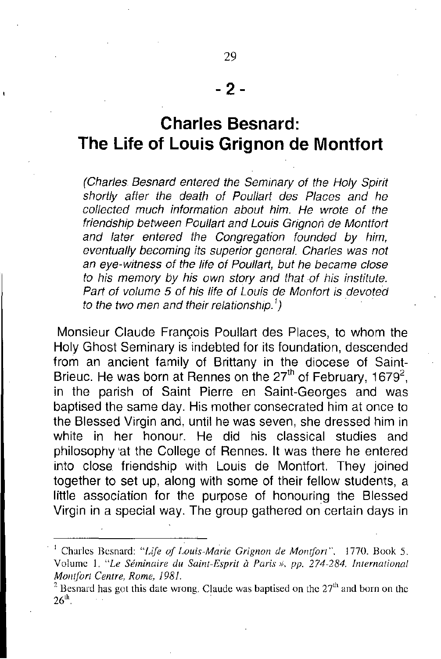## **Charles Besnard: The Life of Louis Grignon de Montfort**

*(Charles Besnard entered the Seminary of the Holy Spirit shortly after the death of Paul/art des Places and he col/ected much information about him. He wrote of the friendship between Paul/art and Louis Grignon de Montfort and later entered the Congregation founded by him, eventual/y becoming its superior general. Charles was not an eye-witness of the life of Paul/art, but he became close to his memory by his own story and that of his institute. Part of volume* 5 *of his life of Louis de Monfort* is *devoted to the two men and their relationship.')*

Monsieur Claude Frangois Poullart des Places, to whom the Holy Ghost Seminary is indebted for its foundation, descended from an ancient family of Brittany in the diocese of Saint-Brieuc. He was born at Rennes on the 27<sup>th</sup> of February, 1679<sup>2</sup>, in the parish of Saint Pierre en Saint-Georges and was baptised the same day. His mother consecrated him at once to the Blessed Virgin and, until he was seven, she dressed him in white in her honour. He did his classical studies and philosophy 'at the College of Rennes. It was there he entered into close friendship with Louis de Montfort. They joined together to set up, along with some of their fellow students, a little association for the purpose of honouring the Blessed Virgin in a special way. The group gathered on certain days in

<sup>I</sup> Charles Bcsnard: *"Life of Grignon de Montfort",* 1770. Book *S.* Volume 1. *"Le Seminaire du Saint-Esprit a Paris* », *pp.* 274-284. *International MOil/fori Centre, Rome, 1981.*

<sup>&</sup>lt;sup>2</sup> Besnard has got this date wrong. Claude was baptised on the  $27<sup>th</sup>$  and born on the  $26<sup>th</sup>$ .